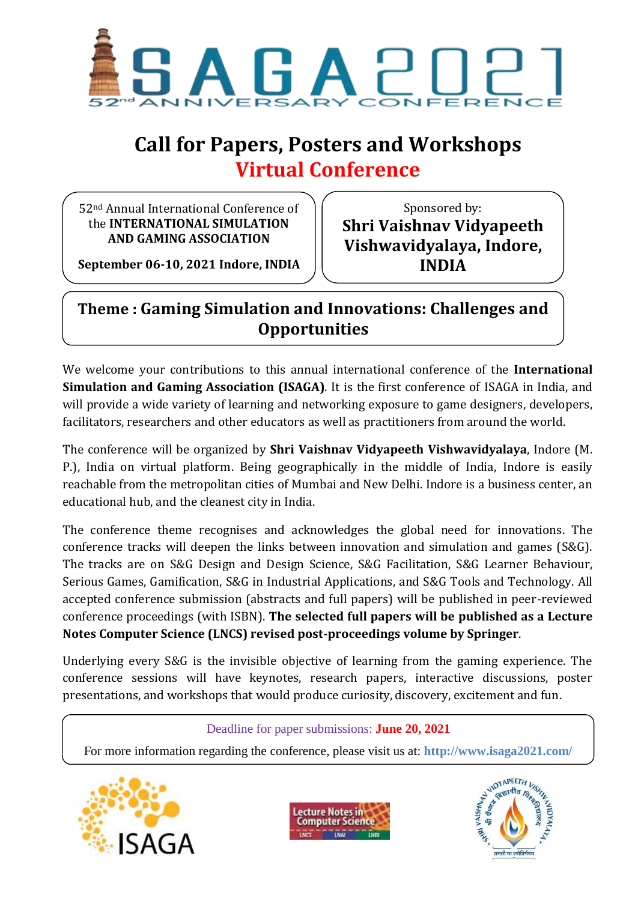

# **Call for Papers, Posters and Workshops Virtual Conference**

52nd Annual International Conference of the **INTERNATIONAL SIMULATION AND GAMING ASSOCIATION**

Sponsored by: **Shri Vaishnav Vidyapeeth Vishwavidyalaya, Indore, INDIA**

**September 06-10, 2021 Indore, INDIA**

## **Theme : Gaming Simulation and Innovations: Challenges and Opportunities**

We welcome your contributions to this annual international conference of the **International Simulation and Gaming Association (ISAGA)**. It is the first conference of ISAGA in India, and will provide a wide variety of learning and networking exposure to game designers, developers, facilitators, researchers and other educators as well as practitioners from around the world.

The conference will be organized by **Shri Vaishnav Vidyapeeth Vishwavidyalaya**, Indore (M. P.), India on virtual platform. Being geographically in the middle of India, Indore is easily reachable from the metropolitan cities of Mumbai and New Delhi. Indore is a business center, an educational hub, and the cleanest city in India.

The conference theme recognises and acknowledges the global need for innovations. The conference tracks will deepen the links between innovation and simulation and games (S&G). The tracks are on S&G Design and Design Science, S&G Facilitation, S&G Learner Behaviour, Serious Games, Gamification, S&G in Industrial Applications, and S&G Tools and Technology. All accepted conference submission (abstracts and full papers) will be published in peer-reviewed conference proceedings (with ISBN). **The selected full papers will be published as a Lecture Notes Computer Science (LNCS) revised post-proceedings volume by Springer**.

Underlying every S&G is the invisible objective of learning from the gaming experience. The conference sessions will have keynotes, research papers, interactive discussions, poster presentations, and workshops that would produce curiosity, discovery, excitement and fun.

#### Deadline for paper submissions: **June 20, 2021**